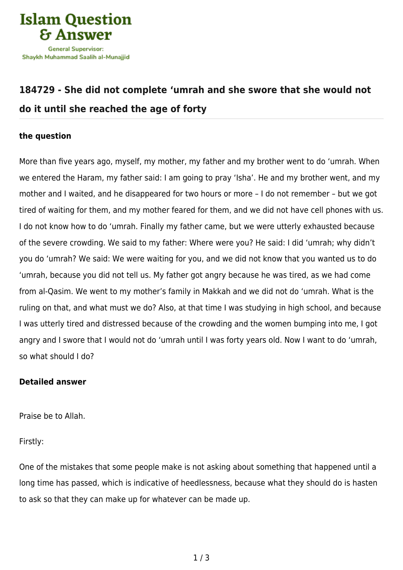

## **[184729 - She did not complete 'umrah and she swore that she would not](https://islamqa.com/en/answers/184729/she-did-not-complete-umrah-and-she-swore-that-she-would-not-do-it-until-she-reached-the-age-of-forty) [do it until she reached the age of forty](https://islamqa.com/en/answers/184729/she-did-not-complete-umrah-and-she-swore-that-she-would-not-do-it-until-she-reached-the-age-of-forty)**

## **the question**

More than five years ago, myself, my mother, my father and my brother went to do 'umrah. When we entered the Haram, my father said: I am going to pray 'Isha'. He and my brother went, and my mother and I waited, and he disappeared for two hours or more – I do not remember – but we got tired of waiting for them, and my mother feared for them, and we did not have cell phones with us. I do not know how to do 'umrah. Finally my father came, but we were utterly exhausted because of the severe crowding. We said to my father: Where were you? He said: I did 'umrah; why didn't you do 'umrah? We said: We were waiting for you, and we did not know that you wanted us to do 'umrah, because you did not tell us. My father got angry because he was tired, as we had come from al-Qasim. We went to my mother's family in Makkah and we did not do 'umrah. What is the ruling on that, and what must we do? Also, at that time I was studying in high school, and because I was utterly tired and distressed because of the crowding and the women bumping into me, I got angry and I swore that I would not do 'umrah until I was forty years old. Now I want to do 'umrah, so what should I do?

## **Detailed answer**

Praise be to Allah.

Firstly:

One of the mistakes that some people make is not asking about something that happened until a long time has passed, which is indicative of heedlessness, because what they should do is hasten to ask so that they can make up for whatever can be made up.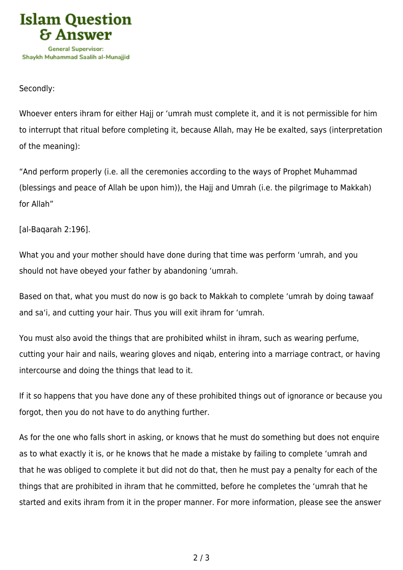

## Secondly:

Whoever enters ihram for either Hajj or 'umrah must complete it, and it is not permissible for him to interrupt that ritual before completing it, because Allah, may He be exalted, says (interpretation of the meaning):

"And perform properly (i.e. all the ceremonies according to the ways of Prophet Muhammad (blessings and peace of Allah be upon him)), the Hajj and Umrah (i.e. the pilgrimage to Makkah) for Allah"

[al-Baqarah 2:196].

What you and your mother should have done during that time was perform 'umrah, and you should not have obeyed your father by abandoning 'umrah.

Based on that, what you must do now is go back to Makkah to complete 'umrah by doing tawaaf and sa'i, and cutting your hair. Thus you will exit ihram for 'umrah.

You must also avoid the things that are prohibited whilst in ihram, such as wearing perfume, cutting your hair and nails, wearing gloves and niqab, entering into a marriage contract, or having intercourse and doing the things that lead to it.

If it so happens that you have done any of these prohibited things out of ignorance or because you forgot, then you do not have to do anything further.

As for the one who falls short in asking, or knows that he must do something but does not enquire as to what exactly it is, or he knows that he made a mistake by failing to complete 'umrah and that he was obliged to complete it but did not do that, then he must pay a penalty for each of the things that are prohibited in ihram that he committed, before he completes the 'umrah that he started and exits ihram from it in the proper manner. For more information, please see the answer